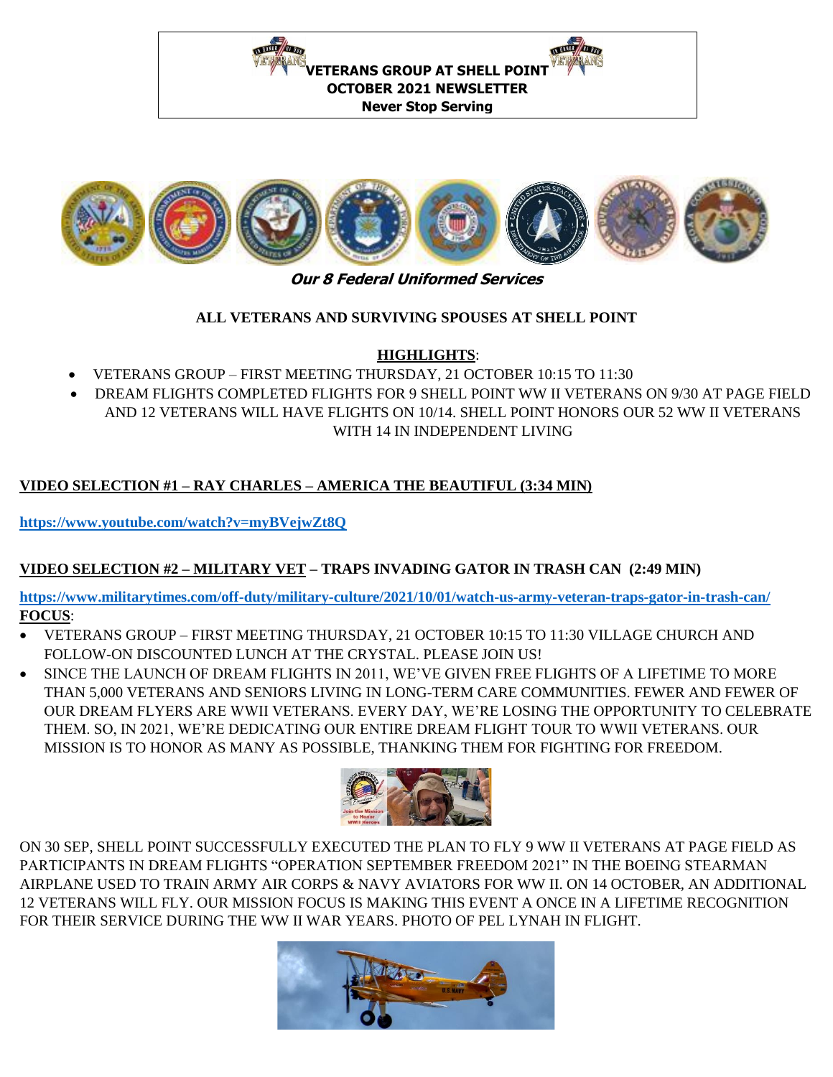



## **ALL VETERANS AND SURVIVING SPOUSES AT SHELL POINT**

## **HIGHLIGHTS**:

- VETERANS GROUP FIRST MEETING THURSDAY, 21 OCTOBER 10:15 TO 11:30
- DREAM FLIGHTS COMPLETED FLIGHTS FOR 9 SHELL POINT WW II VETERANS ON 9/30 AT PAGE FIELD AND 12 VETERANS WILL HAVE FLIGHTS ON 10/14. SHELL POINT HONORS OUR 52 WW II VETERANS WITH 14 IN INDEPENDENT LIVING

# **VIDEO SELECTION #1 – RAY CHARLES – AMERICA THE BEAUTIFUL (3:34 MIN)**

**<https://www.youtube.com/watch?v=myBVejwZt8Q>**

## **VIDEO SELECTION #2 – MILITARY VET – TRAPS INVADING GATOR IN TRASH CAN (2:49 MIN)**

**<https://www.militarytimes.com/off-duty/military-culture/2021/10/01/watch-us-army-veteran-traps-gator-in-trash-can/> FOCUS**:

- VETERANS GROUP FIRST MEETING THURSDAY, 21 OCTOBER 10:15 TO 11:30 VILLAGE CHURCH AND FOLLOW-ON DISCOUNTED LUNCH AT THE CRYSTAL. PLEASE JOIN US!
- SINCE THE LAUNCH OF DREAM FLIGHTS IN 2011, WE'VE GIVEN FREE FLIGHTS OF A LIFETIME TO MORE THAN 5,000 VETERANS AND SENIORS LIVING IN LONG-TERM CARE COMMUNITIES. FEWER AND FEWER OF OUR DREAM FLYERS ARE WWII VETERANS. EVERY DAY, WE'RE LOSING THE OPPORTUNITY TO CELEBRATE THEM. SO, IN 2021, WE'RE DEDICATING OUR ENTIRE DREAM FLIGHT TOUR TO WWII VETERANS. OUR MISSION IS TO HONOR AS MANY AS POSSIBLE, THANKING THEM FOR FIGHTING FOR FREEDOM.



ON 30 SEP, SHELL POINT SUCCESSFULLY EXECUTED THE PLAN TO FLY 9 WW II VETERANS AT PAGE FIELD AS PARTICIPANTS IN DREAM FLIGHTS "OPERATION SEPTEMBER FREEDOM 2021" IN THE BOEING STEARMAN AIRPLANE USED TO TRAIN ARMY AIR CORPS & NAVY AVIATORS FOR WW II. ON 14 OCTOBER, AN ADDITIONAL 12 VETERANS WILL FLY. OUR MISSION FOCUS IS MAKING THIS EVENT A ONCE IN A LIFETIME RECOGNITION FOR THEIR SERVICE DURING THE WW II WAR YEARS. PHOTO OF PEL LYNAH IN FLIGHT.